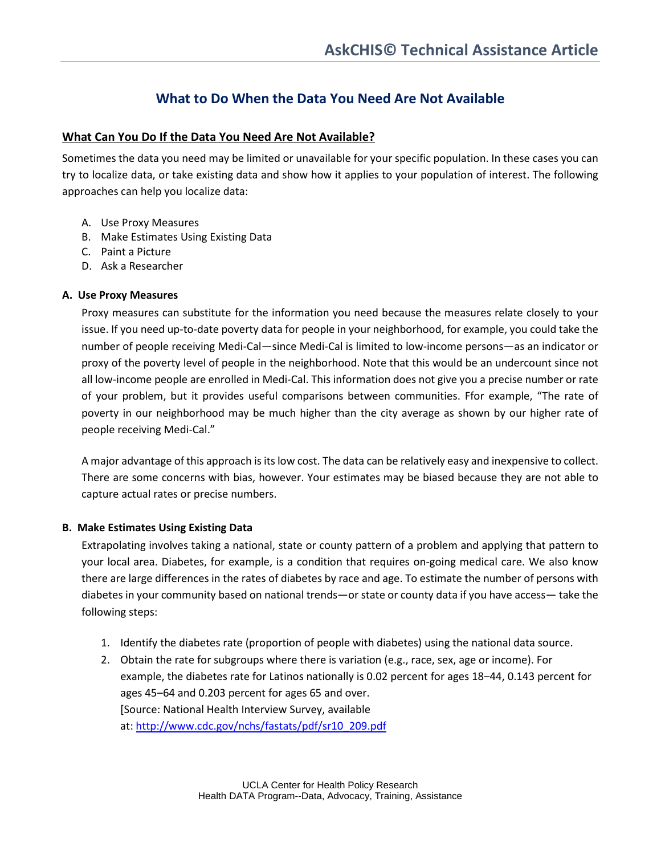# **What to Do When the Data You Need Are Not Available**

## **What Can You Do If the Data You Need Are Not Available?**

Sometimes the data you need may be limited or unavailable for your specific population. In these cases you can try to localize data, or take existing data and show how it applies to your population of interest. The following approaches can help you localize data:

- A. Use Proxy Measures
- B. Make Estimates Using Existing Data
- C. Paint a Picture
- D. Ask a Researcher

### **A. Use Proxy Measures**

Proxy measures can substitute for the information you need because the measures relate closely to your issue. If you need up-to-date poverty data for people in your neighborhood, for example, you could take the number of people receiving Medi-Cal—since Medi-Cal is limited to low-income persons—as an indicator or proxy of the poverty level of people in the neighborhood. Note that this would be an undercount since not all low-income people are enrolled in Medi-Cal. This information does not give you a precise number or rate of your problem, but it provides useful comparisons between communities. Ffor example, "The rate of poverty in our neighborhood may be much higher than the city average as shown by our higher rate of people receiving Medi-Cal."

A major advantage of this approach is its low cost. The data can be relatively easy and inexpensive to collect. There are some concerns with bias, however. Your estimates may be biased because they are not able to capture actual rates or precise numbers.

#### **B. Make Estimates Using Existing Data**

Extrapolating involves taking a national, state or county pattern of a problem and applying that pattern to your local area. Diabetes, for example, is a condition that requires on-going medical care. We also know there are large differences in the rates of diabetes by race and age. To estimate the number of persons with diabetes in your community based on national trends—or state or county data if you have access— take the following steps:

- 1. Identify the diabetes rate (proportion of people with diabetes) using the national data source.
- 2. Obtain the rate for subgroups where there is variation (e.g., race, sex, age or income). For example, the diabetes rate for Latinos nationally is 0.02 percent for ages 18-44, 0.143 percent for ages 45-64 and 0.203 percent for ages 65 and over. [Source: National Health Interview Survey, available at: [http://www.cdc.gov/nchs/fastats/pdf/sr10\\_209.pdf](http://www.cdc.gov/nchs/fastats/pdf/sr10_209.pdf)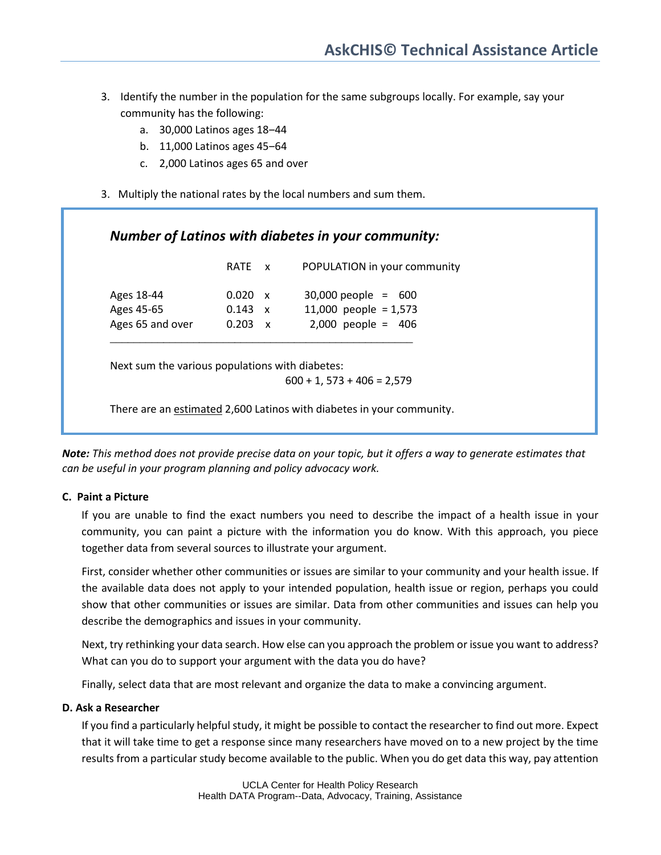- 3. Identify the number in the population for the same subgroups locally. For example, say your community has the following:
	- a. 30,000 Latinos ages 18-44
	- b. 11,000 Latinos ages 45‒64
	- c. 2,000 Latinos ages 65 and over
- 3. Multiply the national rates by the local numbers and sum them.

| Number of Latinos with diabetes in your community: |  |
|----------------------------------------------------|--|
|----------------------------------------------------|--|

|                                              | RATE x                                             | POPULATION in your community                                             |
|----------------------------------------------|----------------------------------------------------|--------------------------------------------------------------------------|
| Ages 18-44<br>Ages 45-65<br>Ages 65 and over | $0.020 \times$<br>$0.143 \times$<br>$0.203 \times$ | $30,000$ people = 600<br>11,000 people = $1,573$<br>$2,000$ people = 406 |
|                                              |                                                    |                                                                          |

Next sum the various populations with diabetes:

 $600 + 1$ , 573 + 406 = 2,579

There are an estimated 2,600 Latinos with diabetes in your community.

*Note: This method does not provide precise data on your topic, but it offers a way to generate estimates that can be useful in your program planning and policy advocacy work.*

#### **C. Paint a Picture**

If you are unable to find the exact numbers you need to describe the impact of a health issue in your community, you can paint a picture with the information you do know. With this approach, you piece together data from several sources to illustrate your argument.

First, consider whether other communities or issues are similar to your community and your health issue. If the available data does not apply to your intended population, health issue or region, perhaps you could show that other communities or issues are similar. Data from other communities and issues can help you describe the demographics and issues in your community.

Next, try rethinking your data search. How else can you approach the problem or issue you want to address? What can you do to support your argument with the data you do have?

Finally, select data that are most relevant and organize the data to make a convincing argument.

#### **D. Ask a Researcher**

If you find a particularly helpful study, it might be possible to contact the researcher to find out more. Expect that it will take time to get a response since many researchers have moved on to a new project by the time results from a particular study become available to the public. When you do get data this way, pay attention